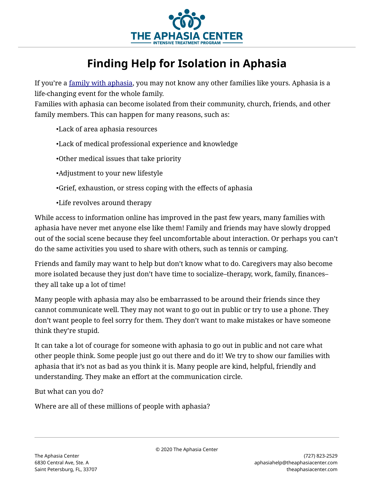

## **Finding Help for Isolation in Aphasia**

If you're a [family with aphasia,](https://theaphasiacenter.com/2019/08/what-is-a-family-with-aphasia/) you may not know any other families like yours. Aphasia is a life-changing event for the whole family.

Families with aphasia can become isolated from their community, church, friends, and other family members. This can happen for many reasons, such as:

•Lack of area aphasia resources

•Lack of medical professional experience and knowledge

•Other medical issues that take priority

•Adjustment to your new lifestyle

•Grief, exhaustion, or stress coping with the effects of aphasia

•Life revolves around therapy

While access to information online has improved in the past few years, many families with aphasia have never met anyone else like them! Family and friends may have slowly dropped out of the social scene because they feel uncomfortable about interaction. Or perhaps you can't do the same activities you used to share with others, such as tennis or camping.

Friends and family may want to help but don't know what to do. Caregivers may also become more isolated because they just don't have time to socialize–therapy, work, family, finances– they all take up a lot of time!

Many people with aphasia may also be embarrassed to be around their friends since they cannot communicate well. They may not want to go out in public or try to use a phone. They don't want people to feel sorry for them. They don't want to make mistakes or have someone think they're stupid.

It can take a lot of courage for someone with aphasia to go out in public and not care what other people think. Some people just go out there and do it! We try to show our families with aphasia that it's not as bad as you think it is. Many people are kind, helpful, friendly and understanding. They make an effort at the communication circle.

But what can you do?

Where are all of these millions of people with aphasia?